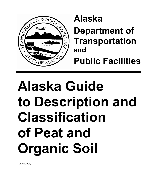

**Alaska** 

**Department of Transportation and**

**Public Facilities** 

# **Alaska Guide to Description and Classification of Peat and Organic Soil**

(March 2007)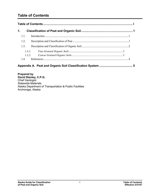# <span id="page-2-0"></span>**Table of Contents**

| 1.3.1.<br>1.3.2 |
|-----------------|

# **[Appendix A. Peat and Organic Soil Classification System](#page-8-0) ........................................ 5**

**Prepared by David Stanley, C.P.G.** Chief Geologist Statewide Materials Alaska Department of Transportation & Public Facilities Anchorage, Alaska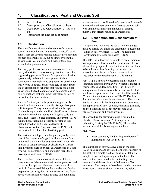# <span id="page-4-0"></span>**1. Classification of Peat and Organic Soil**

- 1.1. Introduction
- 1.2. Description and Classification of Peat
- 1.3. Description and Classification of Organic Soil
- 1.4. ReferencesTraining Requirements

# **1.1. Introduction**

The classification of peat and organic soils requires special attention beyond that needed to classify other soils. There are several existing classification schemes for peat and organic soils, but no single system that allows classification of any soil that contains any amount of organic material.

The many peat classification schemes often rely on overly descriptive means to categorize these soils for engineering purposes. Some of the peat classification systems rely on biologic descriptions of plant constituents. Geologists and engineers are usually not well versed in botany and are unlikely to make much use of classification schemes that require biological knowledge. Instead, engineers and geologists tend to rely on methods that use numerical values as part of the system for nomenclature.

A classification system for peat and organic soils should include a means to readily distinguish organic soil from peat. The system described in this paper (Appendix A) provides a unified classification scheme that covers the whole spectrum of organic soils and peat. The system is based primarily on current ASTM test methods, including a recently developed test method based on an 83-year-old Swedish classification system (See Von Post, L. 1921) that uses a simple field test for classifying peat.

The systems developed thus far generally only cover part of the spectrum of organic soil and do not focus on the soil characteristics engineers need to consider in order to design a project. A classification system that directs its users to critical characteristics of a soil type will help geologists and engineers focus their investigation and design efforts.

There has been research to establish correlations between classifiable characteristics of organic soil and critical soil properties. More such research will be useful in further establishing the correlations. During preparation of this guide, little information was found about classification of coarse-grained soil containing

organic material. Additional information and research is needed to address behavior of coarse-grained soil with small, but significant, amounts of organic material that affects handling characteristics.

#### **1.2. Description and Classification of Peat**

All operations involving the use of nuclear gauges must be carried out under the direction of a Regional Radiation Safety Officer (RRSO). The Regional Construction Engineer designates RRSOs.

The RRSO is authorized to initiate remedial action or to temporarily halt or immediately terminate the use of a nuclear gauge or licensed activities that are found to be a threat to health, safety, or property or otherwise in violation of federal, state, or local regulations or the requirements of this manual.

Peat (PT) is a naturally occurring, highly organic substance composed primarily of vegetable matter in various stages of decomposition. It is fibrous to amorphous in texture, is usually dark brown to black, and has an organic odor. Ash content will be less than 25 percent when tested under ASTM D2974. Peat does not include the surface organic mat. The organic mat is not peat; it is the living matter that dominates the upper layer of a soil column, consisting primarily of live plants and roots, but may include dead vegetative matter and windblown soil.

The procedure for classifying peat is outlined in Standard Classification of Peat Samples by Laboratory Testing (ASTM D 4427). This method includes use of the following test methods:

## **Field Tests**

• Fiber content by field testing for degree of humification (ASTM D 5715)

The humification test was developed in the early 1920s in Sweden, and is related to the fiber content of the peat. This simple field test consists of taking a sample of peat and squeezing it in the hand. The material that is extruded between the fingers is examined and the soil is identified as one of 10 categories. The categories have been divided between three types of peat as shown in Table 1-1, below.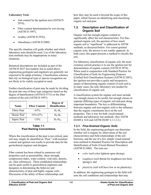#### <span id="page-5-0"></span>**Laboratory Tests**

- Ash content by the ignition test (ASTM D) 2974),
- Fiber content determination by wet sieving (ASTM D 1997),
- Acidity (ASTM D 2976),
- Absorbency (ASTM D 2980)

The specific situation will guide whether and which laboratory tests should be used. Use of the laboratory tests methods may be inappropriate in many situations.

Botanical descriptions are included as part of the ASTM D 4427 test method, but as noted above, engineering geologists and engineers are generally not expected to be adept at botany. Classification schemes that rely on biological type or species recognition are not likely to be widely accepted or used.

Further classification of peat may be made by dividing the peat into one of three type categories based on the degree of humification (ASTM D 5715) or the fiber content of the soil (ASTM D 1997):

| Name        | <b>Fiber Content</b> | Degree of<br><b>Humification</b> |
|-------------|----------------------|----------------------------------|
| Fibric Peat | $>67\%$              | $H_1-H_3$                        |
| Hemic Peat  | $33\% - 67\%$        | $H_4$ - $H_6$                    |
| Sapric Peat | $<$ 33%              | $H_7$ - $H_{10}$                 |

#### **Table 1-1 Peat Naming Conventions**

Where the classification of the peat is not critical, peat soil may simply be identified as "Peat," with moisture content and ignition test results to provide data for the geotechnical engineer and designer.

Fiber content has been related to numerous soil properties such as permeability, shear strength, compression index, water content, void ratio, density, etc. (See references). These established relationships can be quite useful to geotechnical engineers and designers in determining the behavior and characteristics of peat and highly organic soils. Discussion of the utility of these relationships and

how they may be used is beyond the scope of this paper, which focuses on identifying and classifying organic soil and peat.

#### **1.3. Description and Classification of Organic Soil**

Organic soil has enough organic content to significantly affect the soil characteristics. For finegrained organic soil, the question of how much organic soil is "significant" is addressed in ASTM methods, as discussed below. For coarse-grained organic soils, the answer is not readily apparent. In both cases, this paper presents a method to classify the soil.

For laboratory classification of organic soil, the most common current practice is to use the ignition test for determination of organic content (ASTM D 2974). When used in conjunction with Standard Practice for Classification of Soils for Engineering Purposes (Unified Soil Classification System) (ASTM D 2487), the ignition test provides a quick and inexpensive means of determining organic content of soils and is, in many cases, the only laboratory test needed for classification of organic soil.

A classification system for organic soil must include few enough classes to be useful, but enough classes to separate differing types of organic soil and peat along important boundaries. The key to differentiating between organic and non-organic soils is the influence that the organic constituents have on the soil properties. This is true for both visual-manual methods and laboratory test methods. (See ASTM D2488 § 14.8 and ASTM D2487 § 11.3.2.)

#### *1.3.1. Fine-Grained Organic Soils*

In the field, the engineering geologist can determine whether soil is organic by observation of the soil characteristics and field relationships of the soil horizons, and the use of a few simple visual-manual tests outlined in Standard Practice for Description and Identification of Soils (Visual-Manual Procedure) (ASTM D 2488). The tests are:

- *color* (soil color lightens upon drying);
- *toughness* (soil thread for toughness test feels spongy); and
- *plasticity* (soil will have low or no plasticity).

In addition, the engineering geologist in the field will note the soil conditions and relationships that may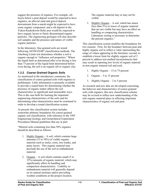<span id="page-6-0"></span>suggest the presence of organics. For example, silt layers below a peat deposit would be expected to have organics; an alluvial sand and gravel deposit downstream from a marsh might be expected to have some organic component; and a silt deposit in the Yukon-Kuskokwim Delta area would be expected to have organic layers or finely disseminated organic particles. The engineering geologist will also describe soil samples and the presence and nature of visible organic particles.

In the laboratory, fine-grained soils are tested following ASTM D2487 classification methods. The Atterberg Limits test determines whether a soil is organic enough to "influence soil properties." Where the liquid limit as determined after oven drying is less than 75 percent of the liquid limit determined before oven drying, the soil is an organic silt or organic clay.

#### *1.3.2. Coarse Grained Organic Soils*

As mentioned in the introductory comments, the classification of coarse-grained soils with organics is problematic. Little information is presently available to provide a sound basis for determining whether the presence of organic matter affects the soil characteristics in significant and measurable ways. This is the case both for learning the important engineering characteristics of the soils and for determining what characteristics must be examined in order to develop a sound classification system.

At present, this classification system includes somewhat arbitrary boundaries for coarse-grained organic soil classification, with reference to the 1993 Engineering Geology and Geotechnical Exploration Procedures Manual guidelines that say in part:

"Mineral soils containing less than 50% organics should be described as follows:

- 1. Highly Organic A soil, which contains large amounts  $(15 \text{ to } 50\%)$  of visible organic material such as sticks, roots, tree trunks, and peaty layers. This organic material may preclude the use of the soil as embankment material.
- 2. Organic A soil which contains small  $(5 \text{ to }$ 15%) amounts of organic material, which may significantly affect its handling and compaction characteristics. Usability as embankment material will generally depend on its natural moisture and/or prevailing weather conditions at the project location.

The organic material may or may not be visible.

3. Slightly Organic – A soil, which has minor (less than 5%) or traces of organic material that are not visible but may have an effect on handling or compacting characteristics. Laboratory testing is necessary to determine the percent organics."

This classification system modifies the boundaries for two reasons: First, for the boundary between peat and highly organic soil to reflect a value representing the range of values appearing in the literature; second, to establish a lower limit for slightly organic soil of 2 percent to address test method inconsistencies that may result in reporting low levels of organic material in non-organic mineral soil and rock.

- 1. Highly Organic 15 to 75 percent
- 2. Organic 5 to 15 percent
- 3. Slightly Organic 2 to 5 percent

As research and new data are developed concerning the behavior and characteristics of coarse-grained soils with organics, this new classification scheme may be revised to reflect new understanding of the role organic material plays in affecting important characteristics of organic soil and peat.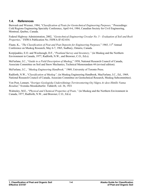## <span id="page-7-0"></span>**1.4. References**

Burwash and Wiesner, 1984, "*Classification of Peats for Geotechnical Engineering Purposes,"* Proceedings: Cold Regions Engineering Specialty Conference, April 4-6, 1984, Canadian Society for Civil Engineering, Montreal, Quebec, Canada.

Federal Highway Administration, 2002, *"Geotechnical Engineering Circular No. 5 – Evaluation of Soil and Rock Properties,"* FHWA Publication No. FHWA-IF-02-034.

Flaate, K., "The Classification of Peat and Peat Deposits for Engineering Purposes," 1965, 11<sup>th</sup> Annual Conference on Muskeg Research, May 6-7, 1965, Sudbury, Ontario, Canada.

Korpijaakko, E.O. and Woolnough, D.F., "*Peatland Survey and Inventory,"* (in Muskeg and the Northern Environment in Canada, 1977, Radforth, N.W., and Brawner, C.O., Ed.s).

McFarlane, I.C., "*Guide to a Field Description of Muskeg*," 1958, National Research Council of Canada, Associate Committee on Soil and Snow Mechanics, Technical Memorandum 44 (revised edition).

McFarlane, I.C., *"Muskeg Engineering Handbook,"* 1969, University of Toronto Press.

Radforth, N.W., "*Classification of Muskeg",* (in Muskeg Engineering Handbook, MacFarlane, I.C., Ed., 1969, National Research Council of Canada, Associate Committee on Geotechnical Research, Muskeg Subcommittee).

Von Post, Lennart, "*Sveriges Geologiska Undersöknings Torvinventering Ocj Några Av dess Hittills Vunna Resultat*," Svenska Mosskulturfor. Tidskrift, vol. 36, 1921

Walmsley, M.E., "*Physical and Chemical Properties of Peats,"* (in Muskeg and the Northern Environment in Canada, 1977, Radforth, N.W., and Brawner, C.O., Ed.s)